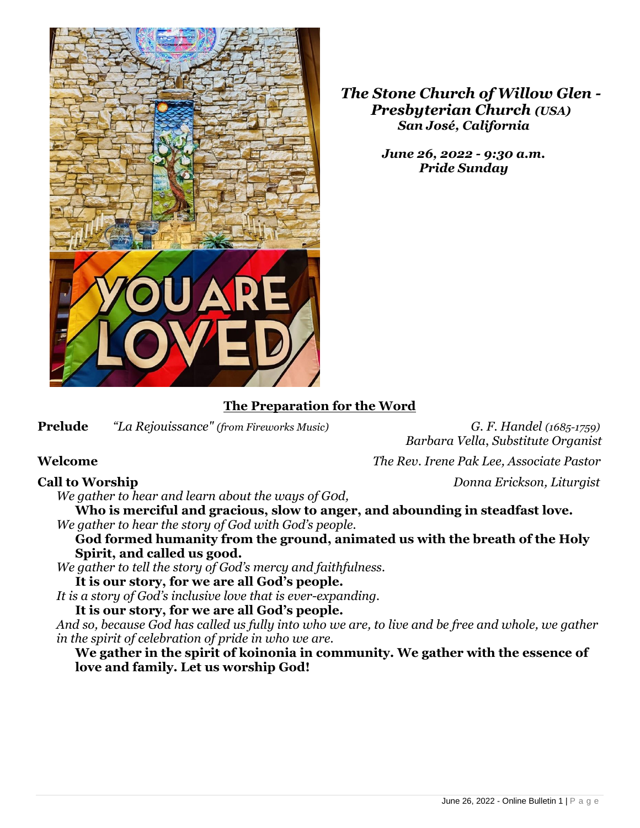

*The Stone Church of Willow Glen - Presbyterian Church (USA) San José, California*

> *June 26, 2022 - 9:30 a.m. Pride Sunday*

## **The Preparation for the Word**

**Prelude** *"La Rejouissance" (from Fireworks Music) G. F. Handel (1685-1759)* 

*Barbara Vella*, *Substitute Organist*

**Welcome** *The Rev. Irene Pak Lee, Associate Pastor*

**Call to Worship** *Donna Erickson, Liturgist*

*We gather to hear and learn about the ways of G0d,*

**Who is merciful and gracious, slow to anger, and abounding in steadfast love.** *We gather to hear the story of God with God's people.*

**God formed humanity from the ground, animated us with the breath of the Holy Spirit, and called us good.** 

*We gather to tell the story of God's mercy and faithfulness.*

**It is our story, for we are all God's people.**

*It is a story of God's inclusive love that is ever-expanding.*

**It is our story, for we are all God's people.**

*And so, because God has called us fully into who we are, to live and be free and whole, we gather in the spirit of celebration of pride in who we are.* 

**We gather in the spirit of koinonia in community. We gather with the essence of love and family. Let us worship God!**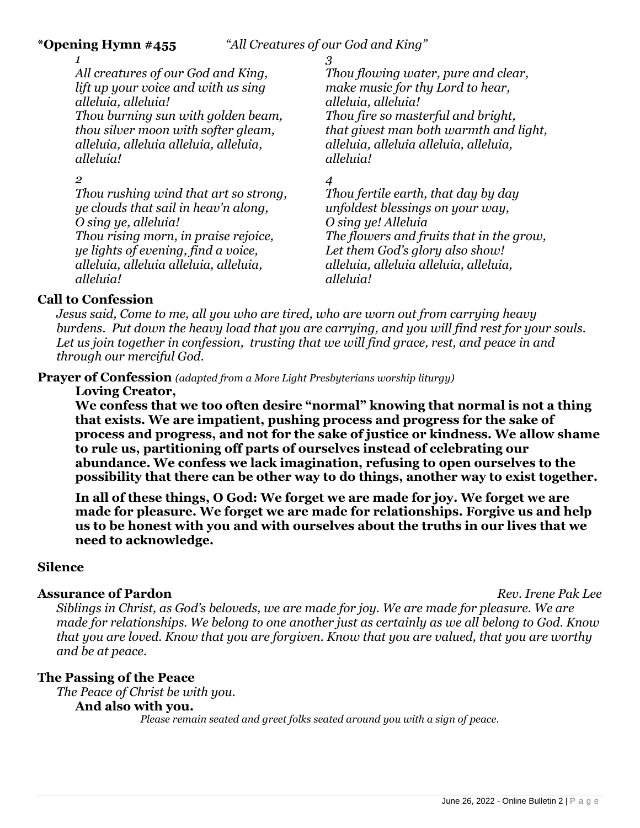#### **\*Opening Hymn #455** *"All Creatures of our God and King"*

*1 All creatures of our God and King, lift up your voice and with us sing alleluia, alleluia! Thou burning sun with golden beam, thou silver moon with softer gleam, alleluia, alleluia alleluia, alleluia, alleluia!*

*2* 

*Thou rushing wind that art so strong, ye clouds that sail in heav'n along, O sing ye, alleluia! Thou rising morn, in praise rejoice, ye lights of evening, find a voice, alleluia, alleluia alleluia, alleluia, alleluia!*

*3* 

*Thou flowing water, pure and clear, make music for thy Lord to hear, alleluia, alleluia! Thou fire so masterful and bright, that givest man both warmth and light, alleluia, alleluia alleluia, alleluia, alleluia!*

*4* 

*Thou fertile earth, that day by day unfoldest blessings on your way, O sing ye! Alleluia The flowers and fruits that in the grow, Let them God's glory also show! alleluia, alleluia alleluia, alleluia, alleluia!*

# **Call to Confession**

*Jesus said, Come to me, all you who are tired, who are worn out from carrying heavy burdens. Put down the heavy load that you are carrying, and you will find rest for your souls. Let us join together in confession, trusting that we will find grace, rest, and peace in and through our merciful God.*

**Prayer of Confession** *(adapted from a More Light Presbyterians worship liturgy)*

**Loving Creator,** 

**We confess that we too often desire "normal" knowing that normal is not a thing that exists. We are impatient, pushing process and progress for the sake of process and progress, and not for the sake of justice or kindness. We allow shame to rule us, partitioning off parts of ourselves instead of celebrating our abundance. We confess we lack imagination, refusing to open ourselves to the possibility that there can be other way to do things, another way to exist together.** 

**In all of these things, O God: We forget we are made for joy. We forget we are made for pleasure. We forget we are made for relationships. Forgive us and help us to be honest with you and with ourselves about the truths in our lives that we need to acknowledge.**

### **Silence**

### **Assurance of Pardon** *Rev. Irene Pak Lee*

*Siblings in Christ, as God's beloveds, we are made for joy. We are made for pleasure. We are made for relationships. We belong to one another just as certainly as we all belong to God. Know that you are loved. Know that you are forgiven. Know that you are valued, that you are worthy and be at peace.*

### **The Passing of the Peace**

*The Peace of Christ be with you.*

### **And also with you.**

*Please remain seated and greet folks seated around you with a sign of peace.*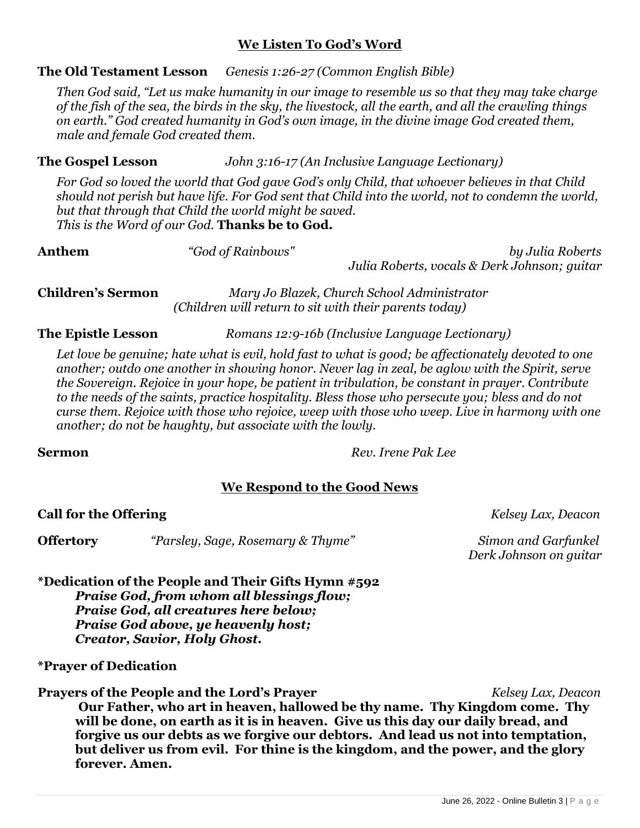## **We Listen To God's Word**

# **The Old Testament Lesson** *Genesis 1:26-27 (Common English Bible)*

*Then God said, "Let us make humanity in our image to resemble us so that they may take charge of the fish of the sea, the birds in the sky, the livestock, all the earth, and all the crawling things on earth." God created humanity in God's own image, in the divine image God created them, male and female God created them.*

# **The Gospel Lesson** *John 3:16-17 (An Inclusive Language Lectionary)*

*For God so loved the world that God gave God's only Child, that whoever believes in that Child should not perish but have life. For God sent that Child into the world, not to condemn the world, but that through that Child the world might be saved. This is the Word of our God.* **Thanks be to God.**

| Anthem | "God of Rainbows" | by Julia Roberts<br>Julia Roberts, vocals & Derk Johnson; guitar |
|--------|-------------------|------------------------------------------------------------------|
|        |                   |                                                                  |

**Children's Sermon** *Mary Jo Blazek, Church School Administrator (Children will return to sit with their parents today)*

## **The Epistle Lesson** *Romans 12:9-16b (Inclusive Language Lectionary)*

*Let love be genuine; hate what is evil, hold fast to what is good; be affectionately devoted to one another; outdo one another in showing honor. Never lag in zeal, be aglow with the Spirit, serve the Sovereign. Rejoice in your hope, be patient in tribulation, be constant in prayer. Contribute to the needs of the saints, practice hospitality. Bless those who persecute you; bless and do not curse them. Rejoice with those who rejoice, weep with those who weep. Live in harmony with one another; do not be haughty, but associate with the lowly.*

**Sermon** *Rev. Irene Pak Lee*

### **We Respond to the Good News**

**Call for the Offering** *Kelsey Lax, Deacon*

**Offertory** *"Parsley, Sage, Rosemary & Thyme" Simon and Garfunkel*

*Derk Johnson on guitar*

**\*Dedication of the People and Their Gifts Hymn #592**  *Praise God, from whom all blessings flow; Praise God, all creatures here below; Praise God above, ye heavenly host; Creator, Savior, Holy Ghost.*

### **\*Prayer of Dedication**

**Prayers of the People and the Lord's Prayer** *Kelsey Lax, Deacon* **Our Father, who art in heaven, hallowed be thy name. Thy Kingdom come. Thy will be done, on earth as it is in heaven. Give us this day our daily bread, and forgive us our debts as we forgive our debtors. And lead us not into temptation, but deliver us from evil. For thine is the kingdom, and the power, and the glory forever. Amen.**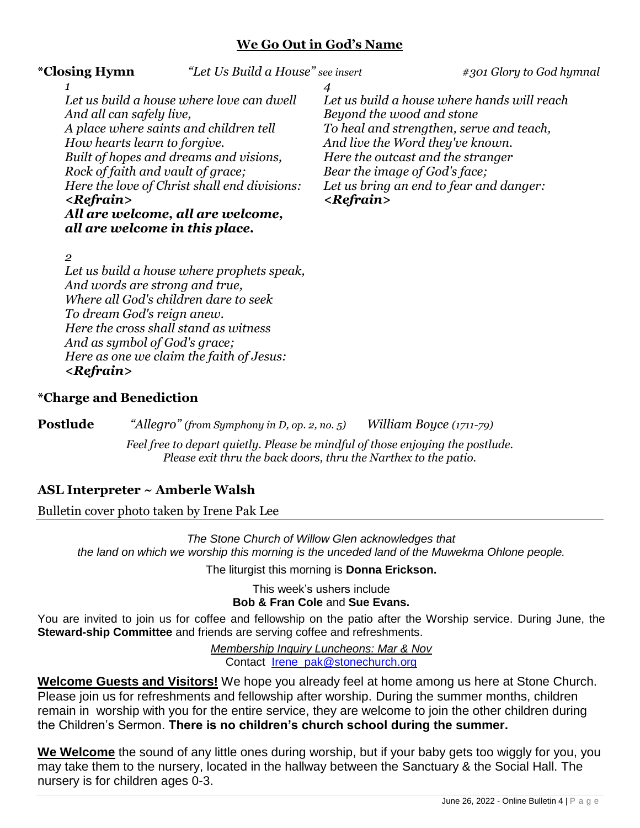#### **We Go Out in God's Name**

**\*Closing Hymn** *"Let Us Build a House" see insert #301 Glory to God hymnal* 

*1 Let us build a house where love can dwell And all can safely live, A place where saints and children tell How hearts learn to forgive. Built of hopes and dreams and visions, Rock of faith and vault of grace; Here the love of Christ shall end divisions: <Refrain> All are welcome, all are welcome, all are welcome in this place.*

*4 Let us build a house where hands will reach Beyond the wood and stone To heal and strengthen, serve and teach, And live the Word they've known. Here the outcast and the stranger Bear the image of God's face; Let us bring an end to fear and danger: <Refrain>*

#### *2*

*Let us build a house where prophets speak, And words are strong and true, Where all God's children dare to seek To dream God's reign anew. Here the cross shall stand as witness And as symbol of God's grace; Here as one we claim the faith of Jesus: <Refrain>*

#### **\*Charge and Benediction**

**Postlude** *"Allegro" (from Symphony in D, op. 2, no. 5) William Boyce (1711-79)*

*Feel free to depart quietly. Please be mindful of those enjoying the postlude. Please exit thru the back doors, thru the Narthex to the patio.*

#### **ASL Interpreter ~ Amberle Walsh**

Bulletin cover photo taken by Irene Pak Lee

*The Stone Church of Willow Glen acknowledges that the land on which we worship this morning is the unceded land of the Muwekma Ohlone people.*

The liturgist this morning is **Donna Erickson.**

This week's ushers include **Bob & Fran Cole** and **Sue Evans.**

You are invited to join us for coffee and fellowship on the patio after the Worship service. During June, the **Steward-ship Committee** and friends are serving coffee and refreshments.

> *Membership Inquiry Luncheons: Mar & Nov* Contact [Irene\\_pak@stonechurch.org](mailto:Irene_pak@stonechurch.org)

**Welcome Guests and Visitors!** We hope you already feel at home among us here at Stone Church. Please join us for refreshments and fellowship after worship. During the summer months, children remain in worship with you for the entire service, they are welcome to join the other children during the Children's Sermon. **There is no children's church school during the summer.** 

**We Welcome** the sound of any little ones during worship, but if your baby gets too wiggly for you, you may take them to the nursery, located in the hallway between the Sanctuary & the Social Hall. The nursery is for children ages 0-3.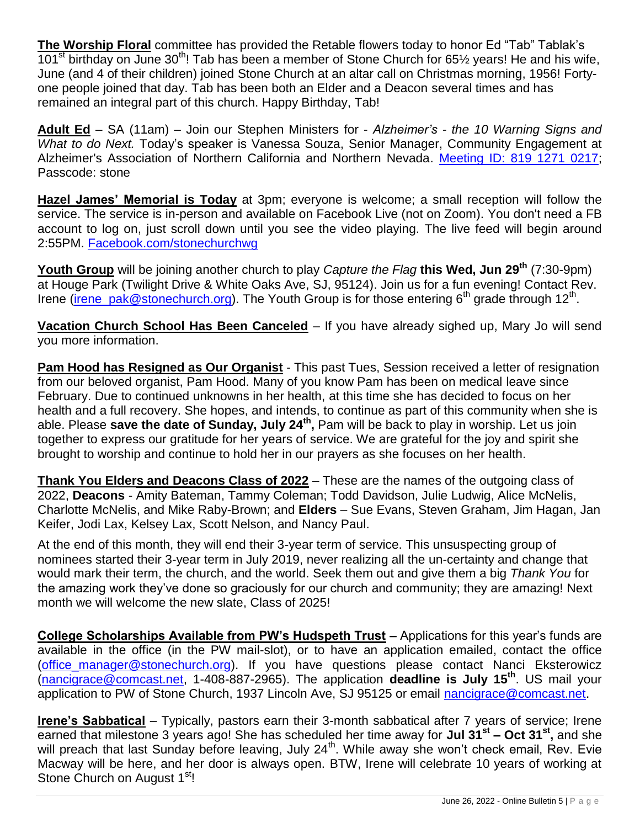**The Worship Floral** committee has provided the Retable flowers today to honor Ed "Tab" Tablak's 101<sup>st</sup> birthday on June 30<sup>th</sup>! Tab has been a member of Stone Church for 65 $\frac{1}{2}$  years! He and his wife, June (and 4 of their children) joined Stone Church at an altar call on Christmas morning, 1956! Fortyone people joined that day. Tab has been both an Elder and a Deacon several times and has remained an integral part of this church. Happy Birthday, Tab!

**Adult Ed** – SA (11am) – Join our Stephen Ministers for - *Alzheimer's - the 10 Warning Signs and What to do Next.* Today's speaker is Vanessa Souza, Senior Manager, Community Engagement at Alzheimer's Association of Northern California and Northern Nevada. [Meeting ID: 819 1271 0217;](https://us02web.zoom.us/j/81912710217?pwd=eXVhYkIrcHY4LzVrWXNKZk5wZlh6QT09) Passcode: stone

**Hazel James' Memorial is Today** at 3pm; everyone is welcome; a small reception will follow the service. The service is in-person and available on Facebook Live (not on Zoom). You don't need a FB account to log on, just scroll down until you see the video playing. The live feed will begin around 2:55PM. [Facebook.com/stonechurchwg](https://r20.rs6.net/tn.jsp?f=001ZqU-yTPLOPCNgdhjmTPpA4hR7pUK74RAvHYtk2EQl5aP3tCd2YHOTVdwr1hQTNsC3LzWoHQTY9lMJ6Jufv5OvJpEzPDb2pHnvX37jeriFNQEpH-7mc3NqOp3LuIGJ2VVJdd-YfRdO4EM2pPnHkIHiYK3uQozEJvL&c=8mTsuesDb64fJWPcHR5dkXKxeofo5Ky2jRdwN2l_3_bOpxEmz_sPLA==&ch=DM5VJYVL1JExzTgzjIHa3cSTLjOo_e2duRhQug8W_I8jtPd5xDd2Cg==)

**Youth Group** will be joining another church to play *Capture the Flag* **this Wed, Jun 29th** (7:30-9pm) at Houge Park (Twilight Drive & White Oaks Ave, SJ, 95124). Join us for a fun evening! Contact Rev. Irene (*irene\_pak@stonechurch.org*). The Youth Group is for those entering 6<sup>th</sup> grade through 12<sup>th</sup>.

**Vacation Church School Has Been Canceled** – If you have already sighed up, Mary Jo will send you more information.

**Pam Hood has Resigned as Our Organist** - This past Tues, Session received a letter of resignation from our beloved organist, Pam Hood. Many of you know Pam has been on medical leave since February. Due to continued unknowns in her health, at this time she has decided to focus on her health and a full recovery. She hopes, and intends, to continue as part of this community when she is able. Please **save the date of Sunday, July 24th ,** Pam will be back to play in worship. Let us join together to express our gratitude for her years of service. We are grateful for the joy and spirit she brought to worship and continue to hold her in our prayers as she focuses on her health.

**Thank You Elders and Deacons Class of 2022** – These are the names of the outgoing class of 2022, **Deacons** - Amity Bateman, Tammy Coleman; Todd Davidson, Julie Ludwig, Alice McNelis, Charlotte McNelis, and Mike Raby-Brown; and **Elders** – Sue Evans, Steven Graham, Jim Hagan, Jan Keifer, Jodi Lax, Kelsey Lax, Scott Nelson, and Nancy Paul.

At the end of this month, they will end their 3-year term of service. This unsuspecting group of nominees started their 3-year term in July 2019, never realizing all the un-certainty and change that would mark their term, the church, and the world. Seek them out and give them a big *Thank You* for the amazing work they've done so graciously for our church and community; they are amazing! Next month we will welcome the new slate, Class of 2025!

**College Scholarships Available from PW's Hudspeth Trust –** Applications for this year's funds are available in the office (in the PW mail-slot), or to have an application emailed, contact the office (office manager@stonechurch.org). If you have questions please contact Nanci Eksterowicz [\(nancigrace@comcast.net,](mailto:nancigrace@comcast.net) 1-408-887-2965). The application **deadline is July 15th**. US mail your application to PW of Stone Church, 1937 Lincoln Ave, SJ 95125 or email nancigrace @comcast.net.

**Irene's Sabbatical** – Typically, pastors earn their 3-month sabbatical after 7 years of service; Irene earned that milestone 3 years ago! She has scheduled her time away for **Jul 31st – Oct 31st ,** and she will preach that last Sunday before leaving, July 24<sup>th</sup>. While away she won't check email, Rev. Evie Macway will be here, and her door is always open. BTW, Irene will celebrate 10 years of working at Stone Church on August 1<sup>st</sup>!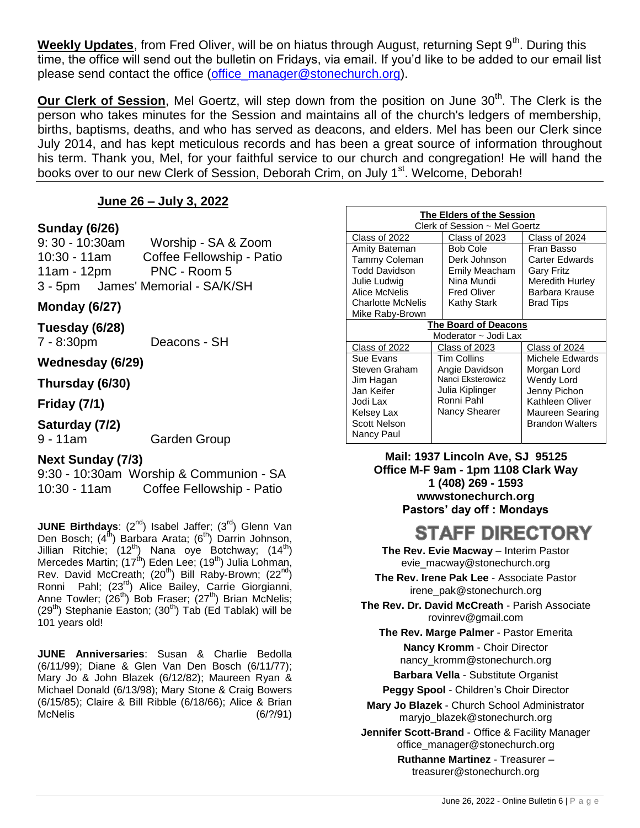Weekly Updates, from Fred Oliver, will be on hiatus through August, returning Sept 9<sup>th</sup>. During this time, the office will send out the bulletin on Fridays, via email. If you'd like to be added to our email list please send contact the office [\(office\\_manager@stonechurch.org\)](mailto:office_manager@stonechurch.org).

**Our Clerk of Session**, Mel Goertz, will step down from the position on June 30<sup>th</sup>. The Clerk is the person who takes minutes for the Session and maintains all of the church's ledgers of membership, births, baptisms, deaths, and who has served as deacons, and elders. Mel has been our Clerk since July 2014, and has kept meticulous records and has been a great source of information throughout his term. Thank you, Mel, for your faithful service to our church and congregation! He will hand the books over to our new Clerk of Session, Deborah Crim, on July 1<sup>st</sup>. Welcome, Deborah!

#### **June 26 – July 3, 2022**

#### **Sunday (6/26)**

9: 30 - 10:30am Worship - SA & Zoom 10:30 - 11am Coffee Fellowship - Patio 11am - 12pm PNC - Room 5 3 - 5pm James' Memorial - SA/K/SH

#### **Monday (6/27)**

**Tuesday (6/28)**

7 - 8:30pm Deacons - SH

#### **Wednesday (6/29)**

**Thursday (6/30)**

**Friday (7/1)**

#### **Saturday (7/2)**

9 - 11am Garden Group

#### **Next Sunday (7/3)**

9:30 - 10:30am Worship & Communion - SA 10:30 - 11am Coffee Fellowship - Patio

**JUNE Birthdays**: (2<sup>nd</sup>) Isabel Jaffer; (3<sup>rd</sup>) Glenn Van Den Bosch; (4<sup>th</sup>) Barbara Arata; (6<sup>th</sup>) Darrin Johnson, Jillian Ritchie; (12<sup>th</sup>) Nana oye Botchway; (14<sup>th</sup>) Mercedes Martin; (17<sup>th</sup>) Eden Lee; (19<sup>th</sup>) Julia Lohman, Rev. David McCreath;  $(20^{th})$  Bill Raby-Brown;  $(22^{nd})$ Ronni Pahl; (23<sup>rd</sup>) Alice Bailey, Carrie Giorgianni, Anne Towler;  $(26^{th})$  Bob Fraser;  $(27^{th})$  Brian McNelis;  $(29<sup>th</sup>)$  Stephanie Easton;  $(30<sup>th</sup>)$  Tab (Ed Tablak) will be 101 years old!

**JUNE Anniversaries**: Susan & Charlie Bedolla (6/11/99); Diane & Glen Van Den Bosch (6/11/77); Mary Jo & John Blazek (6/12/82); Maureen Ryan & Michael Donald (6/13/98); Mary Stone & Craig Bowers (6/15/85); Claire & Bill Ribble (6/18/66); Alice & Brian McNelis (6/?/91)

| The Elders of the Session<br>Clerk of Session ~ Mel Goertz |                    |                        |  |
|------------------------------------------------------------|--------------------|------------------------|--|
| Class of 2022                                              | Class of 2023      | Class of 2024          |  |
| Amity Bateman                                              | <b>Bob Cole</b>    | Fran Basso             |  |
| Tammy Coleman                                              | Derk Johnson       | Carter Edwards         |  |
| Todd Davidson                                              | Emily Meacham      | <b>Gary Fritz</b>      |  |
| Julie Ludwig                                               | Nina Mundi         | Meredith Hurley        |  |
| Alice McNelis                                              | <b>Fred Oliver</b> | Barbara Krause         |  |
| <b>Charlotte McNelis</b>                                   | Kathy Stark        | <b>Brad Tips</b>       |  |
| Mike Raby-Brown                                            |                    |                        |  |
| <b>The Board of Deacons</b>                                |                    |                        |  |
| Moderator ~ Jodi Lax                                       |                    |                        |  |
| Class of 2022                                              | Class of 2023      | Class of 2024          |  |
| Sue Evans                                                  | Tim Collins        | Michele Edwards        |  |
| Steven Graham                                              | Angie Davidson     | Morgan Lord            |  |
| Jim Hagan                                                  | Nanci Eksterowicz  | Wendy Lord             |  |
| Jan Keifer                                                 | Julia Kiplinger    | Jenny Pichon           |  |
| Jodi Lax                                                   | Ronni Pahl         | Kathleen Oliver        |  |
| Kelsey Lax                                                 | Nancy Shearer      | Maureen Searing        |  |
| <b>Scott Nelson</b>                                        |                    | <b>Brandon Walters</b> |  |
| Nancy Paul                                                 |                    |                        |  |

**Mail: 1937 Lincoln Ave, SJ 95125 Office M-F 9am - 1pm 1108 Clark Way 1 (408) 269 - 1593 wwwstonechurch.org Pastors' day off : Mondays**

# **STAFF DIRECTORY**

**The Rev. Evie Macway - Interim Pastor** evie\_macway@stonechurch.org

**The Rev. Irene Pak Lee** - Associate Pastor irene\_pak@stonechurch.org

**The Rev. Dr. David McCreath** - Parish Associate rovinrev@gmail.com

**The Rev. Marge Palmer** - Pastor Emerita

**Nancy Kromm** - Choir Director nancy\_kromm@stonechurch.org

**Barbara Vella** - Substitute Organist

**Peggy Spool** - Children's Choir Director

**Mary Jo Blazek** - Church School Administrator maryjo\_blazek@stonechurch.org

**Jennifer Scott-Brand** - Office & Facility Manager office\_manager@stonechurch.org

> **Ruthanne Martinez** - Treasurer – treasurer@stonechurch.org